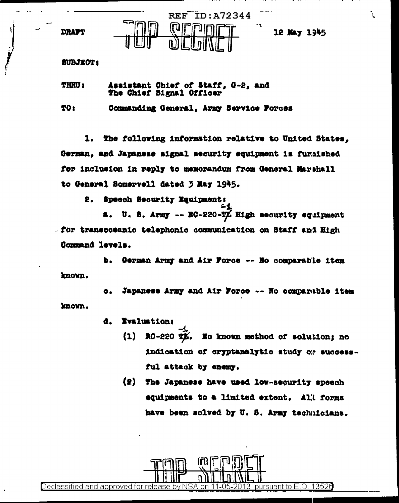**DRAFT** 



12 May 1945

## **SUBJECT:**

**THRU:** Assistant Chief of Staff, G-2, and The Chief Signal Officer

TO I Commanding General, Army Service Forces

The following information relative to United States. 1. . German, and Japanese signal security equipment is furaished for inclusion in reply to memorandum from General Marshall to General Somervell dated 3 May 1945.

Speech Security Equipment: 2.

U. S. Army -- RC-220-TX High security equipment **A.** . for transcoeanic telephonic communication on Staff and High Command levels.

b. German Army and Air Force -- No comparable item known.

Japanese Army and Air Force -- No comparable item ٥. known.

> **Evaluations** ₫.

- $(1)$ RO-220 TX. No known method of solution: no indication of oryptanalytic study or successful attack by enemy.
- $(2)$ The Japanese have used low-security speech equipments to a limited extent. All forms have been solved by U. S. Army technicians.

pursuant to E.O. 13526 Declassified and approved for release .on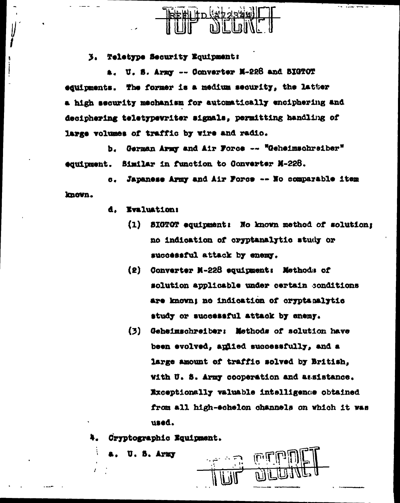

3. Teletype Security Equipment:

U. S. Army -- Converter M-228 and BIGTOT equipments. The former is a medium security, the latter a high security mechanism for automatically enciphering and deciphering teletypewriter signals, permitting handling of large volumes of traffic by wire and radio.

b. German Army and Air Force -- "Geheimschreiber" equipment. Similar in function to Converter M-228.

Japanese Army and Air Force -- No comparable item  $\sigma$ . known.

- **Evaluation:** d.,
	- (1) SIGTOT equipment: No known method of solution; no indication of cryptanalytic study or successful attack by enemy.
	- (2) Converter M-228 equipment: Methods of solution applicable under certain conditions are known; no indication of cryptamalytic study or successful attack by enemy.
	- (3) Geheimschreiber: Methods of solution have been evolved, aplied successfully, and a large amount of traffic solved by British, With U. S. Army cooperation and assistance. Exceptionally valuable intelligence obtained from all high-echelon channels on which it was used.

Cryptographic Equipment.

U. S. Army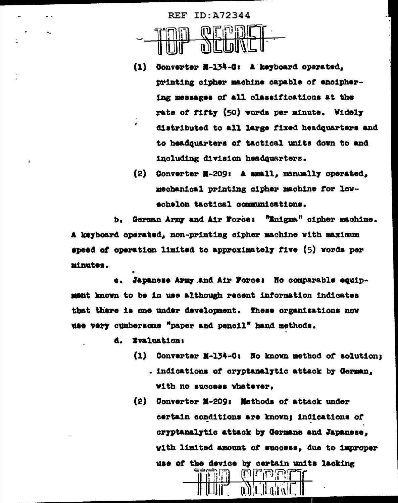

- $(1)$ Converter M-134-C: A keyboard operated. printing cipher machine capable of enciphering messages of all classifications at the rate of fifty (50) words per minute. Widely distributed to all large fixed headquarters and to headquarters of tactical units down to and including division headquarters.
- (2) Converter M-209: A small, manually operated, mechanical printing cipher machine for lowschelon tactical communications.

German Army and Air Force: "Enigma" oipher machine. b. A keyboard operated, non-printing cipher machine with maximum speed of operation limited to approximately five (5) words per minutes.

Japanese Army and Air Force: No comparable equipment known to be in use although recent information indicates that there is one under development. These organizations now use very cumbersome "paper and pencil" hand methods.

- **Evaluation:** a. I
	- (1) Converter M-134-C: No known method of solution: . indications of cryptanalytic attack by German, with no success whatever.
	- (2) Converter M-209: Methods of attack under certain conditions are known; indications of cryptanalytic attack by Germans and Japanese. with limited amount of success, due to improper use of the device by certain units lacking